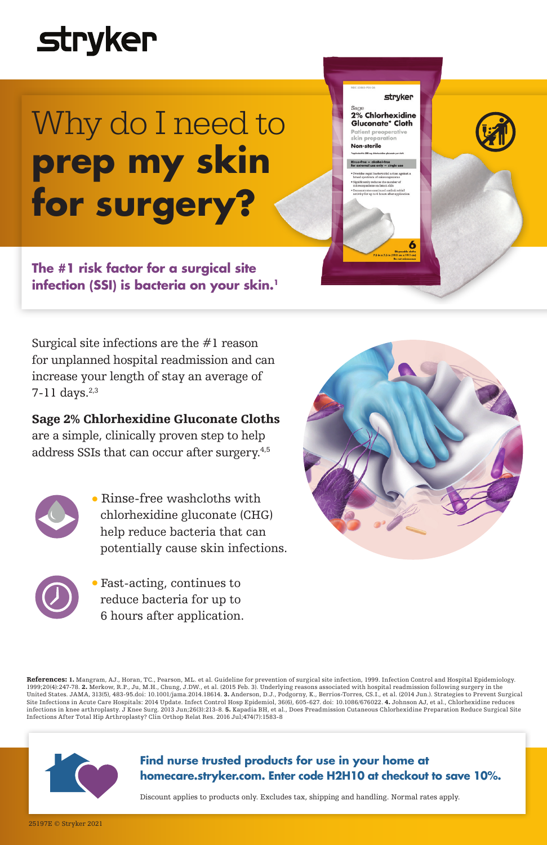## **stryker**

# Why do I need to **prep my skin for surgery?**

**The #1 risk factor for a surgical site infection (SSI) is bacteria on your skin.1**

Surgical site infections are the #1 reason for unplanned hospital readmission and can increase your length of stay an average of 7-11 days.<sup>2,3</sup>

### Sage 2% Chlorhexidine Gluconate Cloths

are a simple, clinically proven step to help address SSIs that can occur after surgery.4,5

- 
- Rinse-free washcloths with chlorhexidine gluconate (CHG) help reduce bacteria that can potentially cause skin infections.
- 
- Fast-acting, continues to reduce bacteria for up to 6 hours after application.



6

stryker 2% Chlorhexidine<br>Gluconate\* Cloth

Non-sterile

**References: 1.** Mangram, AJ., Horan, TC., Pearson, ML. et al. Guideline for prevention of surgical site infection, 1999. Infection Control and Hospital Epidemiology.<br>1999;20(4):247-78. **2.** Merkow, R.P., Ju, M.H., Chung, United States. JAMA, 313(5), 483-95.doi: 10.1001/jama.2014.18614. 3. Anderson, D.J., Podgorny, K., Berrios-Torres, CS.I., et al. (2014 Jun.). Strategies to Prevent Surgical<br>Site Infections in Acute Care Hospitals: 2014 Upd Infections After Total Hip Arthroplasty? Clin Orthop Relat Res. 2016 Jul;474(7):1583-8



### **Find nurse trusted products for use in your home at homecare.stryker.com. Enter code H2H10 at checkout to save 10%.**

Discount applies to products only. Excludes tax, shipping and handling. Normal rates apply.